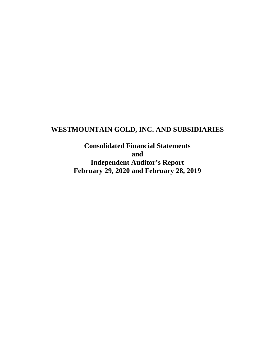# **WESTMOUNTAIN GOLD, INC. AND SUBSIDIARIES**

**Consolidated Financial Statements and Independent Auditor's Report February 29, 2020 and February 28, 2019**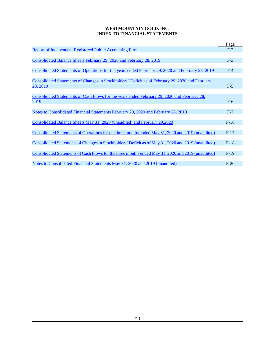# **WESTMOUNTAIN GOLD, INC. INDEX TO FINANCIAL STATEMENTS**

|                                                                                                              | Page   |
|--------------------------------------------------------------------------------------------------------------|--------|
| Report of Independent Registered Public Accounting Firm                                                      | $F-2$  |
| Consolidated Balance Sheets February 29, 2020 and February 28, 2019                                          | $F-3$  |
| <u>Consolidated Statements of Operations for the years ended February 29, 2020 and February 28, 2019</u>     | $F-4$  |
| Consolidated Statements of Changes in Stockholders' Deficit as of February 29, 2020 and February<br>28, 2019 | $F-5$  |
| Consolidated Statements of Cash Flows for the years ended February 29, 2020 and February 28,<br>2019         | $F-6$  |
| Notes to Consolidated Financial Statements February 29, 2020 and February 28, 2019                           | $F-7$  |
| Consolidated Balance Sheets May 31, 2020 (unaudited) and February 29,2020                                    | $F-16$ |
| Consolidated Statements of Operations for the three months ended May 31, 2020 and 2019 (unaudited)           | $F-17$ |
| Consolidated Statements of Changes in Stockholders' Deficit as of May 31, 2020 and 2019 (unaudited)          | $F-18$ |
| Consolidated Statements of Cash Flows for the three months ended May 31, 2020 and 2019 (unaudited)           | $F-19$ |
| Notes to Consolidated Financial Statements May 31, 2020 and 2019 (unaudited)                                 | $F-20$ |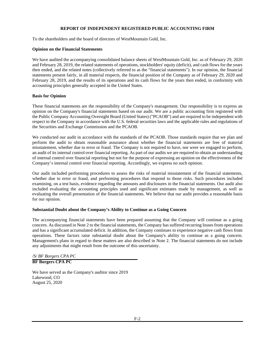## **REPORT OF INDEPENDENT REGISTERED PUBLIC ACCOUNTING FIRM**

<span id="page-2-0"></span>To the shareholders and the board of directors of WestMountain Gold, Inc.

#### **Opinion on the Financial Statements**

We have audited the accompanying consolidated balance sheets of WestMountain Gold, Inc. as of February 29, 2020 and February 28, 2019, the related statements of operations, stockholders' equity (deficit), and cash flows for the years then ended, and the related notes (collectively referred to as the "financial statements"). In our opinion, the financial statements present fairly, in all material respects, the financial position of the Company as of February 29, 2020 and February 28, 2019, and the results of its operations and its cash flows for the years then ended, in conformity with accounting principles generally accepted in the United States.

#### **Basis for Opinion**

These financial statements are the responsibility of the Company's management. Our responsibility is to express an opinion on the Company's financial statements based on our audit. We are a public accounting firm registered with the Public Company Accounting Oversight Board (United States) ("PCAOB") and are required to be independent with respect to the Company in accordance with the U.S. federal securities laws and the applicable rules and regulations of the Securities and Exchange Commission and the PCAOB.

We conducted our audit in accordance with the standards of the PCAOB. Those standards require that we plan and perform the audit to obtain reasonable assurance about whether the financial statements are free of material misstatement, whether due to error or fraud. The Company is not required to have, nor were we engaged to perform, an audit of its internal control over financial reporting. As part of our audits we are required to obtain an understanding of internal control over financial reporting but not for the purpose of expressing an opinion on the effectiveness of the Company's internal control over financial reporting. Accordingly, we express no such opinion.

Our audit included performing procedures to assess the risks of material misstatement of the financial statements, whether due to error or fraud, and performing procedures that respond to those risks. Such procedures included examining, on a test basis, evidence regarding the amounts and disclosures in the financial statements. Our audit also included evaluating the accounting principles used and significant estimates made by management, as well as evaluating the overall presentation of the financial statements. We believe that our audit provides a reasonable basis for our opinion.

## **Substantial Doubt about the Company's Ability to Continue as a Going Concern**

The accompanying financial statements have been prepared assuming that the Company will continue as a going concern. As discussed in Note 2 to the financial statements, the Company has suffered recurring losses from operations and has a significant accumulated deficit. In addition, the Company continues to experience negative cash flows from operations. These factors raise substantial doubt about the Company's ability to continue as a going concern. Management's plans in regard to these matters are also described in Note 2. The financial statements do not include any adjustments that might result from the outcome of this uncertainty.

*/S/ BF Borgers CPA PC* **BF Borgers CPA PC**

We have served as the Company's auditor since 2019 Lakewood, CO August 25, 2020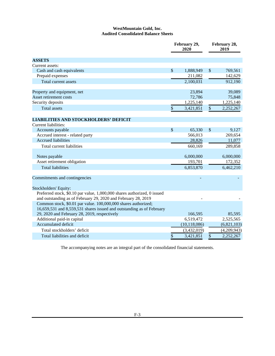# **WestMountain Gold, Inc. Audited Consolidated Balance Sheets**

<span id="page-3-0"></span>

|                                                                            |       | February 29,<br>2020 |                           | February 28,<br>2019     |  |
|----------------------------------------------------------------------------|-------|----------------------|---------------------------|--------------------------|--|
| <b>ASSETS</b>                                                              |       |                      |                           |                          |  |
| Current assets:                                                            |       |                      |                           |                          |  |
| Cash and cash equivalents                                                  | \$    | 1,888,949            | \$                        | 769,561                  |  |
| Prepaid expenses                                                           |       | 211,082              |                           | 142,629                  |  |
| Total current assets                                                       |       | 2,100,031            |                           | 912,190                  |  |
| Property and equipment, net                                                |       | 23,894               |                           | 39,089                   |  |
| Asset retirement costs                                                     |       | 72,786               |                           | 75,848                   |  |
| Security deposits                                                          |       | 1,225,140            |                           | 1,225,140                |  |
| <b>Total assets</b>                                                        | $\$\$ | 3,421,851            | $\boldsymbol{\mathsf{S}}$ | 2,252,267                |  |
| <b>LIABILITIES AND STOCKHOLDERS' DEFICIT</b>                               |       |                      |                           |                          |  |
| Current liabilities:                                                       |       |                      |                           |                          |  |
| Accounts payable                                                           | \$    | 65,330               | \$                        | 9,127                    |  |
| Accrued interest - related party                                           |       | 566,013              |                           | 269,654                  |  |
| <b>Accrued liabilities</b>                                                 |       | 28,826               |                           | 11,077                   |  |
| Total current liabilities                                                  |       | 660,169              |                           | 289,858                  |  |
|                                                                            |       | 6,000,000            |                           | 6,000,000                |  |
| Notes payable<br>Asset retirement obligation                               |       | 193,701              |                           | 172,352                  |  |
|                                                                            |       |                      |                           |                          |  |
| <b>Total liabilities</b>                                                   |       | 6,853,870            |                           | 6,462,210                |  |
| Commitments and contingencies                                              |       |                      |                           |                          |  |
| Stockholders' Equity:                                                      |       |                      |                           |                          |  |
| Preferred stock, \$0.10 par value, 1,000,000 shares authorized, 0 issued   |       |                      |                           |                          |  |
| and outstanding as of February 29, 2020 and February 28, 2019              |       |                      |                           |                          |  |
| Common stock, \$0.01 par value. 100,000,000 shares authorized;             |       |                      |                           |                          |  |
| 16,659,531 and 8,559,531 shares issued and outstanding as of February      |       |                      |                           |                          |  |
| 29, 2020 and February 28, 2019, respectively<br>Additional paid-in capital |       | 166,595<br>6,519,472 |                           | 85,595                   |  |
| Accumulated deficit                                                        |       | (10, 118, 086)       |                           | 2,525,565<br>(6,821,103) |  |
| Total stockholders' deficit                                                |       |                      |                           |                          |  |
|                                                                            |       | (3,432,019)          |                           | (4,209,943)              |  |
| Total liabilities and deficit                                              | \$    | 3,421,851            | \$                        | 2,252,267                |  |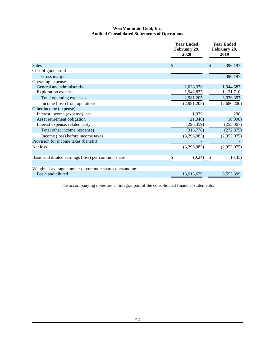# **WestMountain Gold, Inc. Audited Consolidated Statements of Operations**

<span id="page-4-0"></span>

|                                                       |  | <b>Year Ended</b><br>February 29,<br>2020 | <b>Year Ended</b><br>February 28,<br>2019 |             |  |
|-------------------------------------------------------|--|-------------------------------------------|-------------------------------------------|-------------|--|
| <b>Sales</b>                                          |  |                                           | \$                                        | 396,197     |  |
| Cost of goods sold                                    |  |                                           |                                           |             |  |
| Gross margin                                          |  |                                           |                                           | 396,197     |  |
| Operating expenses:                                   |  |                                           |                                           |             |  |
| General and administrative                            |  | 1,038,370                                 |                                           | 1,944,687   |  |
| <b>Exploration</b> expense                            |  | 1,942,835                                 |                                           | 1,131,710   |  |
| Total operating expenses                              |  | 2,981,205                                 |                                           | 3,076,397   |  |
| Income (loss) from operations                         |  | (2,981,205)                               |                                           | (2,680,200) |  |
| Other income (expense)                                |  |                                           |                                           |             |  |
| Interest income (expense), net                        |  | 1,929                                     |                                           | 290         |  |
| Asset retirement obligation                           |  | (21, 348)                                 |                                           | (18,098)    |  |
| Interest expense, related party                       |  | (296, 359)                                |                                           | (255,067)   |  |
| Total other income (expense)                          |  | (315,778)                                 |                                           | (272, 875)  |  |
| Income (loss) before income taxes                     |  | (3,296,983)                               |                                           | (2,953,075) |  |
| Provision for income taxes (benefit)                  |  |                                           |                                           |             |  |
| Net loss                                              |  | (3,296,983)                               |                                           | (2,953,075) |  |
| Basic and diluted earnings (loss) per common share    |  | (0.24)                                    |                                           | (0.35)      |  |
| Weighted-average number of common shares outstanding: |  |                                           |                                           |             |  |
| Basic and diluted                                     |  | 13,913,629                                |                                           | 8,555,399   |  |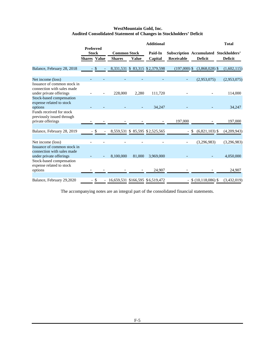# **WestMountain Gold, Inc. Audited Consolidated Statement of Changes in Stockholders' Deficit**

<span id="page-5-0"></span>

|                                                                                |                                  | <b>Total</b> |                     |              |                                       |                |                         |                                        |
|--------------------------------------------------------------------------------|----------------------------------|--------------|---------------------|--------------|---------------------------------------|----------------|-------------------------|----------------------------------------|
|                                                                                | <b>Preferred</b><br><b>Stock</b> |              | <b>Common Stock</b> | Paid-In      |                                       |                |                         | Subscription Accumulated Stockholders' |
|                                                                                | <b>Shares</b> Value              |              | <b>Shares</b>       | <b>Value</b> | Capital                               | Receivable     | <b>Deficit</b>          | <b>Deficit</b>                         |
| Balance, February 28, 2018                                                     |                                  | \$           |                     |              | 8, 331, 531 \$ 83, 315 \$ 2, 379, 598 | $(197,000)$ \$ | $(3,868,028)$ \$        | (1,602,115)                            |
| Net income (loss)<br>Issuance of common stock in<br>connection with sales made |                                  |              |                     |              |                                       |                | (2,953,075)             | (2,953,075)                            |
| under private offerings                                                        |                                  |              | 228,000             | 2,280        | 111,720                               |                |                         | 114,000                                |
| Stock-based compensation<br>expense related to stock<br>options                |                                  |              |                     |              | 34,247                                |                |                         | 34,247                                 |
| Funds received for stock<br>previously issued through<br>private offerings     |                                  |              |                     |              |                                       | 197,000        |                         | 197,000                                |
| Balance, February 28, 2019                                                     |                                  | \$           |                     |              | 8,559,531 \$ 85,595 \$2,525,565       |                | $(6,821,103)$ \$<br>-\$ | (4,209,943)                            |
| Net income (loss)<br>Issuance of common stock in<br>connection with sales made |                                  |              |                     |              |                                       |                | (3,296,983)             | (3,296,983)                            |
| under private offerings                                                        |                                  |              | 8,100,000           | 81,000       | 3,969,000                             |                |                         | 4,050,000                              |
| Stock-based compensation<br>expense related to stock<br>options                |                                  |              |                     |              | 24.907                                |                |                         | 24,907                                 |
|                                                                                |                                  |              |                     |              |                                       |                |                         |                                        |
| Balance, February 29,2020                                                      | $\overline{\phantom{a}}$         | \$           |                     |              | 16,659,531 \$166,595 \$6,519,472      |                | \$(10,118,086)          | (3,432,019)                            |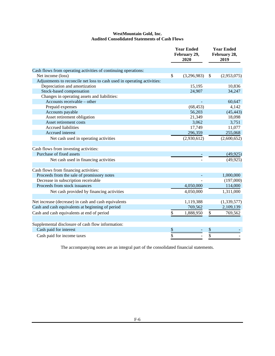## **WestMountain Gold, Inc. Audited Consolidated Statements of Cash Flows**

<span id="page-6-0"></span>

|                                                                         |               | <b>Year Ended</b><br>February 29,<br>2020 |              | <b>Year Ended</b><br>February 28,<br>2019 |
|-------------------------------------------------------------------------|---------------|-------------------------------------------|--------------|-------------------------------------------|
| Cash flows from operating activities of continuing operations:          |               |                                           |              |                                           |
| Net income (loss)                                                       | \$            | (3,296,983)                               | \$           | (2,953,075)                               |
| Adjustments to reconcile net loss to cash used in operating activities: |               |                                           |              |                                           |
| Depreciation and amortization                                           |               | 15,195                                    |              | 10,836                                    |
| Stock-based compensation                                                |               | 24,907                                    |              | 34,247                                    |
| Changes in operating assets and liabilities:                            |               |                                           |              |                                           |
| Accounts receivable – other                                             |               |                                           |              | 60,647                                    |
| Prepaid expenses                                                        |               | (68, 453)                                 |              | 4,142                                     |
| Accounts payable                                                        |               | 56,203                                    |              | (45, 443)                                 |
| Asset retirement obligation                                             |               | 21,349                                    |              | 18,098                                    |
| Asset retirement costs                                                  |               | 3,062                                     |              | 3,751                                     |
| <b>Accrued liabilities</b>                                              |               | 17,749                                    |              | 11,077                                    |
| Accrued interest                                                        |               | 296,359                                   |              | 255,068                                   |
| Net cash used in operating activities                                   |               | (2,930,612)                               |              | (2,600,652)                               |
| Cash flows from investing activities:                                   |               |                                           |              |                                           |
| Purchase of fixed assets                                                |               |                                           |              | (49, 925)                                 |
| Net cash used in financing activities                                   |               |                                           |              | (49, 925)                                 |
| Cash flows from financing activities:                                   |               |                                           |              |                                           |
| Proceeds from the sale of promissory notes                              |               |                                           |              | 1,000,000                                 |
| Decrease in subscription receivable                                     |               |                                           |              | (197,000)                                 |
| Proceeds from stock issuances                                           |               | 4,050,000                                 |              | 114,000                                   |
| Net cash provided by financing activities                               |               | 4,050,000                                 |              | 1,311,000                                 |
| Net increase (decrease) in cash and cash equivalents                    |               | 1,119,388                                 |              | (1, 339, 577)                             |
| Cash and cash equivalents at beginning of period                        |               | 769,562                                   |              | 2,109,139                                 |
|                                                                         |               |                                           |              |                                           |
| Cash and cash equivalents at end of period                              | \$            | 1,888,950                                 | \$           | 769,562                                   |
| Supplemental disclosure of cash flow information:                       |               |                                           |              |                                           |
| Cash paid for interest                                                  | $\frac{1}{2}$ |                                           |              |                                           |
| Cash paid for income taxes                                              | \$            |                                           | $\mathbb{S}$ |                                           |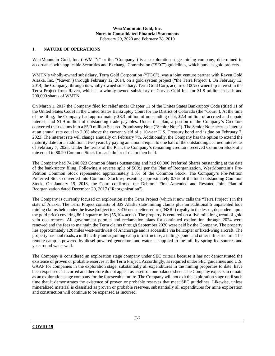## **WestMountain Gold, Inc. Notes to Consolidated Financial Statements** February 29, 2020 and February 28, 2019

## <span id="page-7-0"></span>**1. NATURE OF OPERATIONS**

WestMountain Gold, Inc. ("WMTN" or the "Company") is an exploration stage mining company, determined in accordance with applicable Securities and Exchange Commission ("SEC") guidelines, which pursues gold projects.

WMTN's wholly-owned subsidiary, Terra Gold Corporation ("TGC"), was a joint venture partner with Raven Gold Alaska, Inc. ("Raven") through February 12, 2014, on a gold system project ("the Terra Project"). On February 12, 2014, the Company, through its wholly-owned subsidiary, Terra Gold Corp, acquired 100% ownership interest in the Terra Project from Raven, which is a wholly-owned subsidiary of Corvus Gold Inc. for \$1.8 million in cash and 200,000 shares of WMTN.

On March 1, 2017 the Company filed for relief under Chapter 11 of the Unites States Bankruptcy Code (titled 11 of the United States Code) in the United States Bankruptcy Court for the District of Colorado (the "Court"). At the time of the filing, the Company had approximately \$8.3 million of outstanding debt, \$2.4 million of accrued and unpaid interest, and \$1.9 million of outstanding trade payables. Under the plan, a portion of the Company's Creditors converted their claims into a \$5.0 million Secured Promissory Note ("Senior Note"). The Senior Note accrues interest at an annual rate equal to 2.0% above the current yield of a 10-year U.S. Treasury bond and is due on February 7, 2023. The interest rate will change annually on February 7th. Additionally, the Company has the option to extend the maturity date for an additional two years by paying an amount equal to one half of the outstanding accrued interest as of February 7, 2023. Under the terms of the Plan, the Company's remaining creditors received Common Stock at a rate equal to \$0.20 Common Stock for each dollar of claim then held.

The Company had 74,240,023 Common Shares outstanding and had 60,000 Preferred Shares outstanding at the date of the bankruptcy filing. Following a reverse split of 500:1 per the Plan of Reorganization, WestMountain's Pre-Petition Common Stock represented approximately 1.8% of the Common Stock. The Company's Pre-Petition Preferred Stock converted into Common Stock representing approximately 0.7% of the total outstanding Common Stock. On January 19, 2018, the Court confirmed the Debtors' First Amended and Restated Joint Plan of Reorganization dated December 20, 2017 ("Reorganization").

The Company is currently focused on exploration at the Terra Project (which it now calls the "Terra Project") in the state of Alaska. The Terra Project consists of 339 Alaska state mining claims plus an additional 5 unpatented lode mining claims held under the lease (subject to a 3-4% net smelter return ("NSR") royalty to the lessor, dependent upon the gold price) covering 86.1 square miles (55,104 acres). The property is centered on a five mile long trend of gold vein occurrences. All government permits and reclamation plans for continued exploration through 2024 were renewed and the fees to maintain the Terra claims through September 2020 were paid by the Company. The property lies approximately 120 miles west-northwest of Anchorage and is accessible via helicopter or fixed-wing aircraft. The property has haul roads, a mill facility and adjoining camp infrastructure, a tailings pond, and other infrastructure. The remote camp is powered by diesel-powered generators and water is supplied to the mill by spring-fed sources and year-round water well.

The Company is considered an exploration stage company under SEC criteria because it has not demonstrated the existence of proven or probable reserves at the Terra Project. Accordingly, as required under SEC guidelines and U.S. GAAP for companies in the exploration stage, substantially all expenditures in the mining properties to date, have been expensed as incurred and therefore do not appear as assets on our balance sheet. The Company expects to remain as an exploration stage company for the foreseeable future. The Company will not exit the exploration stage until such time that it demonstrates the existence of proven or probable reserves that meet SEC guidelines. Likewise, unless mineralized material is classified as proven or probable reserves, substantially all expenditures for mine exploration and construction will continue to be expensed as incurred.

**COVID-19**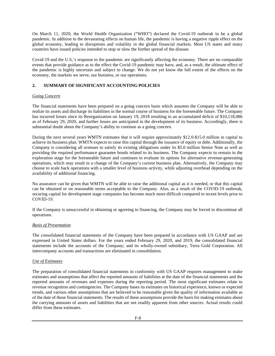On March 11, 2020, the World Health Organization ("WHO") declared the Covid-19 outbreak to be a global pandemic. In addition to the devastating effects on human life, the pandemic is having a negative ripple effect on the global economy, leading to disruptions and volatility in the global financial markets. Most US states and many countries have issued policies intended to stop or slow the further spread of the disease.

Covid-19 and the U.S,'s response to the pandemic are significantly affecting the economy. There are no comparable events that provide guidance as to the effect the Covid-19 pandemic may have, and, as a result, the ultimate effect of the pandemic is highly uncertain and subject to change. We do not yet know the full extent of the effects on the economy, the markets we serve, our business, or our operations.

# **2. SUMMARY OF SIGNIFICANT ACCOUNTING POLICIES**

## *Going Concern*

The financial statements have been prepared on a going concern basis which assumes the Company will be able to realize its assets and discharge its liabilities in the normal course of business for the foreseeable future. The Company has incurred losses since its Reorganization on January 19, 2018 resulting in an accumulated deficit of \$10,118,086 as of February 29, 2020, and further losses are anticipated in the development of its business. Accordingly, there is substantial doubt about the Company's ability to continue as a going concern.

During the next several years WMTN estimates that it will require approximately \$12.0-\$15.0 million in capital to achieve its business plan. WMTN expects to raise this capital through the issuance of equity or debt. Additionally, the Company is considering all avenues to satisfy its existing obligations under its \$5.0 million Senior Note as well as providing the required performance guarantee bonds related to its business. The Company expects to remain in the exploration stage for the foreseeable future and continues to evaluate its options for alternative revenue-generating operations, which may result in a change of the Company's current business plan. Alternatively, the Company may choose to scale back operations with a smaller level of business activity, while adjusting overhead depending on the availability of additional financing.

No assurance can be given that WMTN will be able to raise the additional capital as it is needed, or that this capital can be obtained or on reasonable terms acceptable to the Company. Also, as a result of the COVID-19 outbreak, securing capital for development stage companies has become much more difficult compared to recent levels prior to COVID-19.

If the Company is unsuccessful in obtaining or agreeing to financing, the Company may be forced to discontinue all operations.

## *Basis of Presentation*

The consolidated financial statements of the Company have been prepared in accordance with US GAAP and are expressed in United States dollars. For the years ended February 29, 2020, and 2019, the consolidated financial statements include the accounts of the Company; and its wholly-owned subsidiary, Terra Gold Corporation. All intercompany accounts and transactions are eliminated in consolidation.

## *Use of Estimates*

The preparation of consolidated financial statements in conformity with US GAAP requires management to make estimates and assumptions that affect the reported amounts of liabilities at the date of the financial statements and the reported amounts of revenues and expenses during the reporting period. The most significant estimates relate to revenue recognition and contingencies. The Company bases its estimates on historical experience, known or expected trends, and various other assumptions that are believed to be reasonable given the quality of information available as of the date of these financial statements. The results of these assumptions provide the basis for making estimates about the carrying amounts of assets and liabilities that are not readily apparent from other sources. Actual results could differ from these estimates.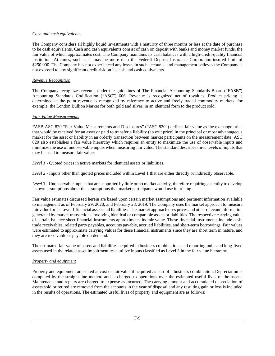#### *Cash and cash equivalents*

The Company considers all highly liquid investments with a maturity of three months or less at the date of purchase to be cash equivalents. Cash and cash equivalents consist of cash on deposit with banks and money market funds, the fair value of which approximates cost. The Company maintains its cash balances with a high-credit-quality financial institution. At times, such cash may be more than the Federal Deposit Insurance Corporation-insured limit of \$250,000. The Company has not experienced any losses in such accounts, and management believes the Company is not exposed to any significant credit risk on its cash and cash equivalents.

#### *Revenue Recognition*

The Company recognizes revenue under the guidelines of The Financial Accounting Standards Board ("FASB") Accounting Standards Codification ("ASC") 606. Revenue is recognized net of royalties. Product pricing is determined at the point revenue is recognized by reference to active and freely traded commodity markets, for example, the London Bullion Market for both gold and silver, in an identical form to the product sold.

#### *Fair Value Measurements*

FASB ASC 820 "Fair Value Measurements and Disclosures" ("ASC 820") defines fair value as the exchange price that would be received for an asset or paid to transfer a liability (an exit price) in the principal or most advantageous market for the asset or liability in an orderly transaction between market participants on the measurement date. ASC 820 also establishes a fair value hierarchy which requires an entity to maximize the use of observable inputs and minimize the use of unobservable inputs when measuring fair value. The standard describes three levels of inputs that may be used to measure fair value:

*Level 1* - Quoted prices in active markets for identical assets or liabilities.

*Level 2* - Inputs other than quoted prices included within Level 1 that are either directly or indirectly observable.

*Level 3* - Unobservable inputs that are supported by little or no market activity, therefore requiring an entity to develop its own assumptions about the assumptions that market participants would use in pricing.

Fair value estimates discussed herein are based upon certain market assumptions and pertinent information available to management as of February 29, 2020, and February 28, 2019. The Company uses the market approach to measure fair value for its Level 1 financial assets and liabilities. The market approach uses prices and other relevant information generated by market transactions involving identical or comparable assets or liabilities. The respective carrying value of certain balance sheet financial instruments approximates its fair value. These financial instruments include cash, trade receivables, related party payables, accounts payable, accrued liabilities, and short-term borrowings. Fair values were estimated to approximate carrying values for these financial instruments since they are short term in nature, and they are receivable or payable on demand.

The estimated fair value of assets and liabilities acquired in business combinations and reporting units and long-lived assets used in the related asset impairment tests utilize inputs classified as Level 3 in the fair value hierarchy.

#### *Property and equipment*

Property and equipment are stated at cost or fair value if acquired as part of a business combination. Depreciation is computed by the straight-line method and is charged to operations over the estimated useful lives of the assets. Maintenance and repairs are charged to expense as incurred. The carrying amount and accumulated depreciation of assets sold or retired are removed from the accounts in the year of disposal and any resulting gain or loss is included in the results of operations. The estimated useful lives of property and equipment are as follows: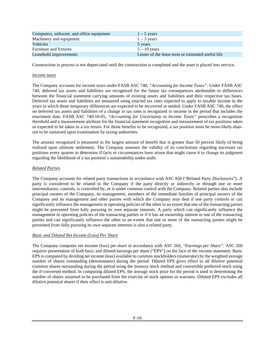| Computers, software, and office equipment | $1 - 5$ years                                     |
|-------------------------------------------|---------------------------------------------------|
| Machinery and equipment                   | $1 - 3$ years                                     |
| Vehicles                                  | 5 years                                           |
| Furniture and fixtures                    | $5 - 10$ years                                    |
| Leasehold improvements                    | Lesser of the lease term or estimated useful life |

Construction in process is not depreciated until the construction is completed and the asset is placed into service.

#### *Income taxes*

The Company accounts for income taxes under FASB ASC 740, *"Accounting for Income Taxes"*. Under FASB ASC 740, deferred tax assets and liabilities are recognized for the future tax consequences attributable to differences between the financial statement carrying amounts of existing assets and liabilities and their respective tax bases. Deferred tax assets and liabilities are measured using enacted tax rates expected to apply to taxable income in the years in which those temporary differences are expected to be recovered or settled. Under FASB ASC 740, the effect on deferred tax assets and liabilities of a change in tax rates is recognized in income in the period that includes the enactment date. FASB ASC 740-10-05, *"Accounting for Uncertainty in Income Taxes"* prescribes a recognition threshold and a measurement attribute for the financial statement recognition and measurement of tax positions taken or expected to be taken in a tax return. For those benefits to be recognized, a tax position must be more-likely-thannot to be sustained upon examination by taxing authorities.

The amount recognized is measured as the largest amount of benefit that is greater than 50 percent likely of being realized upon ultimate settlement. The Company assesses the validity of its conclusions regarding uncertain tax positions every quarter to determine if facts or circumstances have arisen that might cause it to change its judgment regarding the likelihood of a tax position's sustainability under audit.

#### *Related Parties*

The Company accounts for related party transactions in accordance with ASC 850 ("Related Party Disclosures"). A party is considered to be related to the Company if the party directly or indirectly or through one or more intermediaries, controls, is controlled by, or is under common control with the Company. Related parties also include principal owners of the Company, its management, members of the immediate families of principal owners of the Company and its management and other parties with which the Company may deal if one party controls or can significantly influence the management or operating policies of the other to an extent that one of the transacting parties might be prevented from fully pursuing its own separate interests. A party which can significantly influence the management or operating policies of the transacting parties or if it has an ownership interest in one of the transacting parties and can significantly influence the other to an extent that one or more of the transacting parties might be prevented from fully pursuing its own separate interests is also a related party.

#### *Basic and Diluted Net Income (Loss) Per Share*

The Company computes net income (loss) per share in accordance with ASC 260, *"Earnings per Share"*. ASC 260 requires presentation of both basic and diluted earnings per share ("EPS") on the face of the income statement. Basic EPS is computed by dividing net income (loss) available to common stockholders (numerator) by the weighted average number of shares outstanding (denominator) during the period. Diluted EPS gives effect to all dilutive potential common shares outstanding during the period using the treasury stock method and convertible preferred stock using the if-converted method. In computing diluted EPS, the average stock price for the period is used in determining the number of shares assumed to be purchased from the exercise of stock options or warrants. Diluted EPS excludes all dilutive potential shares if their effect is anti-dilutive.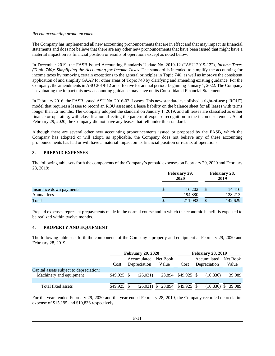#### *Recent accounting pronouncements*

The Company has implemented all new accounting pronouncements that are in effect and that may impact its financial statements and does not believe that there are any other new pronouncements that have been issued that might have a material impact on its financial position or results of operations except as noted below:

In December 2019, the FASB issued Accounting Standards Update No. 2019-12 ("ASU 2019-12"), *Income Taxes (Topic 740): Simplifying the Accounting for Income Taxes*. The standard is intended to simplify the accounting for income taxes by removing certain exceptions to the general principles in Topic 740, as well as improve the consistent application of and simplify GAAP for other areas of Topic 740 by clarifying and amending existing guidance. For the Company, the amendments in ASU 2019-12 are effective for annual periods beginning January 1, 2022. The Company is evaluating the impact this new accounting guidance may have on its Consolidated Financial Statements.

In February 2016, the FASB issued ASU No. 2016-02, Leases. This new standard established a right-of-use ("ROU") model that requires a lessee to record an ROU asset and a lease liability on the balance sheet for all leases with terms longer than 12 months. The Company adopted the standard on January 1, 2019, and all leases are classified as either finance or operating, with classification affecting the pattern of expense recognition in the income statement. As of February 29, 2020, the Company did not have any leases that fell under this standard.

Although there are several other new accounting pronouncements issued or proposed by the FASB, which the Company has adopted or will adopt, as applicable, the Company does not believe any of these accounting pronouncements has had or will have a material impact on its financial position or results of operations.

## **3. PREPAID EXPENSES**

The following table sets forth the components of the Company's prepaid expenses on February 29, 2020 and February 28, 2019:

|                         | February 29,<br>2020 |         |  | February 28,<br>2019 |  |  |
|-------------------------|----------------------|---------|--|----------------------|--|--|
| Insurance down payments |                      | 16.202  |  | 14.416               |  |  |
| Annual fees             |                      | 194,880 |  | 128,213              |  |  |
| Total                   |                      | 211,082 |  | 142,629              |  |  |

Prepaid expenses represent prepayments made in the normal course and in which the economic benefit is expected to be realized within twelve months.

## **4. PROPERTY AND EQUIPMENT**

The following table sets forth the components of the Company's property and equipment at February 29, 2020 and February 28, 2019:

|                                         | <b>February 29, 2020</b> |  |                             |                        | <b>February 28, 2019</b> |  |                             |                   |
|-----------------------------------------|--------------------------|--|-----------------------------|------------------------|--------------------------|--|-----------------------------|-------------------|
|                                         | Cost                     |  | Accumulated<br>Depreciation | Net Book<br>Value      | Cost                     |  | Accumulated<br>Depreciation | Net Book<br>Value |
| Capital assets subject to depreciation: |                          |  |                             |                        |                          |  |                             |                   |
| Machinery and equipment                 | $$49.925$ \$             |  | (26,031)                    |                        | 23.894 \$49.925 \$       |  | (10, 836)                   | 39,089            |
| Total fixed assets                      | \$49,925                 |  | (26,031)                    | 23,894<br><sup>S</sup> | \$49,925                 |  | (10, 836)                   | 39,089            |

For the years ended February 29, 2020 and the year ended February 28, 2019, the Company recorded depreciation expense of \$15,195 and \$10,836 respectively.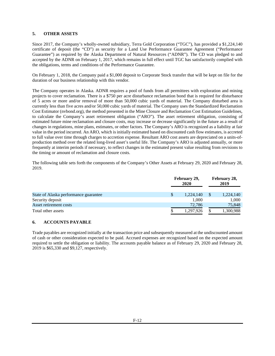# **5. OTHER ASSETS**

Since 2017, the Company's wholly-owned subsidiary, Terra Gold Corporation ("TGC"), has provided a \$1,224,140 certificate of deposit (the "CD") as security for a Land Use Performance Guarantee Agreement ("Performance Guarantee") as required by the Alaska Department of Natural Resources ("ADNR"). The CD was pledged to and accepted by the ADNR on February 1, 2017, which remains in full effect until TGC has satisfactorily complied with the obligations, terms and conditions of the Performance Guarantee.

On February 1, 2018, the Company paid a \$1,000 deposit to Corporate Stock transfer that will be kept on file for the duration of our business relationship with this vendor.

The Company operates in Alaska. ADNR requires a pool of funds from all permittees with exploration and mining projects to cover reclamation. There is a \$750 per acre disturbance reclamation bond that is required for disturbance of 5 acres or more and/or removal of more than 50,000 cubic yards of material. The Company disturbed area is currently less than five acres and/or 50,000 cubic yards of material. The Company uses the Standardized Reclamation Cost Estimator (nvbond.org), the method presented in the Mine Closure and Reclamation Cost Estimation Guidelines, to calculate the Company's asset retirement obligation ("ARO"). The asset retirement obligation, consisting of estimated future mine reclamation and closure costs, may increase or decrease significantly in the future as a result of changes in regulations, mine plans, estimates, or other factors. The Company's ARO is recognized as a liability at fair value in the period incurred. An ARO, which is initially estimated based on discounted cash flow estimates, is accreted to full value over time through charges to accretion expense. Resultant ARO cost assets are depreciated on a units-ofproduction method over the related long-lived asset's useful life. The Company's ARO is adjusted annually, or more frequently at interim periods if necessary, to reflect changes in the estimated present value resulting from revisions to the timing or amount of reclamation and closure costs.

The following table sets forth the components of the Company's Other Assets at February 29, 2020 and February 28, 2019.

|                                       |     | February 29,<br>2020 | February 28,<br>2019 |           |  |
|---------------------------------------|-----|----------------------|----------------------|-----------|--|
| State of Alaska performance guarantee | \$. | 1,224,140            |                      | 1,224,140 |  |
| Security deposit                      |     | 1.000                |                      | 1,000     |  |
| Asset retirement costs                |     | 72.786               |                      | 75,848    |  |
| Total other assets                    |     | 1,297,926            |                      | 1,300,988 |  |

## **6. ACCOUNTS PAYABLE**

Trade payables are recognized initially at the transaction price and subsequently measured at the undiscounted amount of cash or other consideration expected to be paid. Accrued expenses are recognized based on the expected amount required to settle the obligation or liability. The accounts payable balance as of February 29, 2020 and February 28, 2019 is \$65,330 and \$9,127, respectively.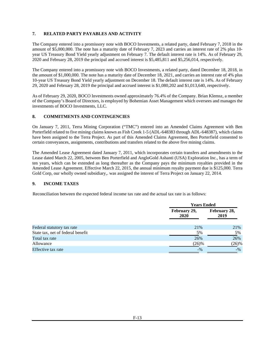## **7. RELATED PARTY PAYABLES AND ACTIVITY**

The Company entered into a promissory note with BOCO Investments, a related party, dated February 7, 2018 in the amount of \$5,000,000. The note has a maturity date of February 7, 2023 and carries an interest rate of 2% plus 10 year US Treasury Bond Yield yearly adjustment on February 7. The default interest rate is 14%. As of February 29, 2020 and February 28, 2019 the principal and accrued interest is \$5,485,811 and \$5,256,014, respectively.

The Company entered into a promissory note with BOCO Investments, a related party, dated December 18, 2018, in the amount of \$1,000,000. The note has a maturity date of December 18, 2021, and carries an interest rate of 4% plus 10-year US Treasury Bond Yield yearly adjustment on December 18. The default interest rate is 14%. As of February 29, 2020 and February 28, 2019 the principal and accrued interest is \$1,080,202 and \$1,013,640, respectively.

As of February 29, 2020, BOCO Investments owned approximately 76.4% of the Company. Brian Klemsz, a member of the Company's Board of Directors, is employed by Bohemian Asset Management which oversees and manages the investments of BOCO Investments, LLC.

## **8. COMMITMENTS AND CONTINGENCIES**

On January 7, 2011, Terra Mining Corporation ("TMC") entered into an Amended Claims Agreement with Ben Porterfield related to five mining claims known as Fish Creek 1-5 (ADL-648383 through ADL-648387), which claims have been assigned to the Terra Project. As part of this Amended Claims Agreement, Ben Porterfield consented to certain conveyances, assignments, contributions and transfers related to the above five mining claims.

The Amended Lease Agreement dated January 7, 2011, which incorporates certain transfers and amendments to the Lease dated March 22, 2005, between Ben Porterfield and AngloGold Ashanti (USA) Exploration Inc., has a term of ten years, which can be extended as long thereafter as the Company pays the minimum royalties provided in the Amended Lease Agreement. Effective March 22, 2015, the annual minimum royalty payment due is \$125,000. Terra Gold Corp, our wholly owned subsidiary,. was assigned the interest of Terra Project on January 22, 2014.

## **9. INCOME TAXES**

Reconciliation between the expected federal income tax rate and the actual tax rate is as follows:

|                                   |                             | <b>Years Ended</b>   |  |  |  |
|-----------------------------------|-----------------------------|----------------------|--|--|--|
|                                   | February 29,<br><b>2020</b> | February 28,<br>2019 |  |  |  |
| Federal statutory tax rate        | 21%                         | 21%                  |  |  |  |
| State tax, net of federal benefit | 5%                          | 5%                   |  |  |  |
| Total tax rate                    | 26%                         | 26%                  |  |  |  |
| Allowance                         | $(26)\%$                    | (26)%                |  |  |  |
| Effective tax rate                | $-9/6$                      | $-9/6$               |  |  |  |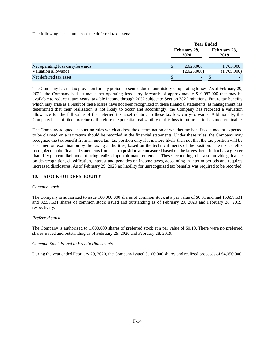The following is a summary of the deferred tax assets:

|                                  | <b>Year Ended</b>    |                      |  |  |  |
|----------------------------------|----------------------|----------------------|--|--|--|
|                                  | February 29,<br>2020 | February 28,<br>2019 |  |  |  |
| Net operating loss carryforwards | \$<br>2,623,000      | 1,765,000            |  |  |  |
| Valuation allowance              | (2,623,000)          | (1,765,000)          |  |  |  |
| Net deferred tax asset           | -                    |                      |  |  |  |

The Company has no tax provision for any period presented due to our history of operating losses. As of February 29, 2020, the Company had estimated net operating loss carry forwards of approximately \$10,087,000 that may be available to reduce future years' taxable income through 2032 subject to Section 382 limitations. Future tax benefits which may arise as a result of these losses have not been recognized in these financial statements, as management has determined that their realization is not likely to occur and accordingly, the Company has recorded a valuation allowance for the full value of the deferred tax asset relating to these tax loss carry-forwards. Additionally, the Company has not filed tax returns, therefore the potential realizability of this loss in future periods is indeterminable

The Company adopted accounting rules which address the determination of whether tax benefits claimed or expected to be claimed on a tax return should be recorded in the financial statements. Under these rules, the Company may recognize the tax benefit from an uncertain tax position only if it is more likely than not that the tax position will be sustained on examination by the taxing authorities, based on the technical merits of the position. The tax benefits recognized in the financial statements from such a position are measured based on the largest benefit that has a greater than fifty percent likelihood of being realized upon ultimate settlement. These accounting rules also provide guidance on de-recognition, classification, interest and penalties on income taxes, accounting in interim periods and requires increased disclosures. As of February 29, 2020 no liability for unrecognized tax benefits was required to be recorded.

## **10. STOCKHOLDERS' EQUITY**

#### *Common stock*

The Company is authorized to issue 100,000,000 shares of common stock at a par value of \$0.01 and had 16,659,531 and 8,559,531 shares of common stock issued and outstanding as of February 29, 2020 and February 28, 2019, respectively.

## *Preferred stock*

The Company is authorized to 1,000,000 shares of preferred stock at a par value of \$0.10. There were no preferred shares issued and outstanding as of February 29, 2020 and February 28, 2019.

## *Common Stock Issued in Private Placements*

During the year ended February 29, 2020, the Company issued 8,100,000 shares and realized proceeds of \$4,050,000.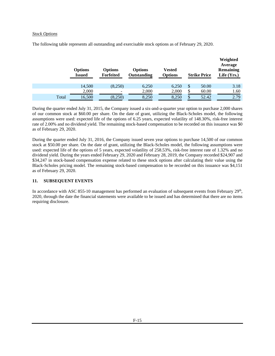## *Stock Options*

The following table represents all outstanding and exercisable stock options as of February 29, 2020.

|       | <b>Options</b><br><b>Issued</b> | <b>Options</b><br><b>Forfeited</b> | <b>Options</b><br><b>Outstanding</b> | <b>Vested</b><br><b>Options</b> |              | <b>Strike Price</b> | Weighted<br>Average<br><b>Remaining</b><br>Life (Yrs.) |
|-------|---------------------------------|------------------------------------|--------------------------------------|---------------------------------|--------------|---------------------|--------------------------------------------------------|
|       | 14,500                          | (8,250)                            | 6,250                                | 6,250                           | $\mathbb{S}$ | 50.00               | 3.18                                                   |
|       | 2,000                           | -                                  | 2,000                                | 2,000                           | \$           | 60.00               | 1.60                                                   |
| Total | 16,500                          | (8,250)                            | 8,250                                | 8,250                           | \$           | 52.42               | 2.79                                                   |

During the quarter ended July 31, 2015, the Company issued a six-and-a-quarter year option to purchase 2,000 shares of our common stock at \$60.00 per share. On the date of grant, utilizing the Black-Scholes model, the following assumptions were used: expected life of the options of 6.25 years, expected volatility of 148.30%, risk-free interest rate of 2.00% and no dividend yield. The remaining stock-based compensation to be recorded on this issuance was \$0 as of February 29, 2020.

During the quarter ended July 31, 2016, the Company issued seven year options to purchase 14,500 of our common stock at \$50.00 per share. On the date of grant, utilizing the Black-Scholes model, the following assumptions were used: expected life of the options of 5 years, expected volatility of 258.53%, risk-free interest rate of 1.32% and no dividend yield. During the years ended February 29, 2020 and February 28, 2019, the Company recorded \$24,907 and \$34,247 in stock-based compensation expense related to these stock options after calculating their value using the Black-Scholes pricing model. The remaining stock-based compensation to be recorded on this issuance was \$4,151 as of February 29, 2020.

## **11. SUBSEQUENT EVENTS**

In accordance with ASC 855-10 management has performed an evaluation of subsequent events from February  $29<sup>th</sup>$ , 2020, through the date the financial statements were available to be issued and has determined that there are no items requiring disclosure.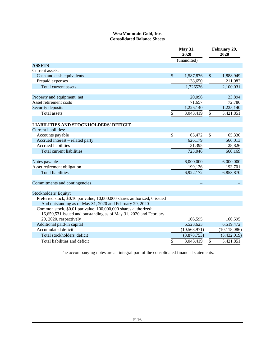## **WestMountain Gold, Inc. Consolidated Balance Sheets**

<span id="page-16-0"></span>

|                                                                           |              | May 31,<br>2020 | February 29,<br>2020 |                |  |
|---------------------------------------------------------------------------|--------------|-----------------|----------------------|----------------|--|
|                                                                           |              | (unaudited)     |                      |                |  |
| <b>ASSETS</b>                                                             |              |                 |                      |                |  |
| Current assets:                                                           |              |                 |                      |                |  |
| Cash and cash equivalents                                                 | $\mathbb{S}$ | 1,587,876       | \$                   | 1,888,949      |  |
| Prepaid expenses                                                          |              | 138,650         |                      | 211,082        |  |
| Total current assets                                                      |              | 1,726526        |                      | 2,100,031      |  |
| Property and equipment, net                                               |              | 20,096          |                      | 23,894         |  |
| Asset retirement costs                                                    |              | 71,657          |                      | 72,786         |  |
| Security deposits                                                         |              | 1,225,140       |                      | 1,225,140      |  |
| Total assets                                                              | \$           | 3,043,419       | \$                   | 3,421,851      |  |
| <b>LIABILITIES AND STOCKHOLDERS' DEFICIT</b>                              |              |                 |                      |                |  |
| <b>Current liabilities:</b>                                               |              |                 |                      |                |  |
| Accounts payable                                                          | \$           | 65,472          | \$                   | 65,330         |  |
| Accrued interest - related party                                          |              | 626,179         |                      | 566,013        |  |
| <b>Accrued liabilities</b>                                                |              | 31.395          |                      | 28,826         |  |
| Total current liabilities                                                 |              | 723,046         |                      | 660,169        |  |
| Notes payable                                                             |              | 6,000,000       |                      | 6,000,000      |  |
| Asset retirement obligation                                               |              | 199,126         |                      | 193,701        |  |
| <b>Total liabilities</b>                                                  |              | 6,922,172       |                      | 6,853,870      |  |
| Commitments and contingencies                                             |              |                 |                      |                |  |
| Stockholders' Equity:                                                     |              |                 |                      |                |  |
| Preferred stock, \$0.10 par value, 10,000,000 shares authorized, 0 issued |              |                 |                      |                |  |
| And outstanding as of May 31, 2020 and February 29, 2020                  |              |                 |                      |                |  |
| Common stock, \$0.01 par value. 100,000,000 shares authorized;            |              |                 |                      |                |  |
| 16,659,531 issued and outstanding as of May 31, 2020 and February         |              |                 |                      |                |  |
| 29, 2020, respectively                                                    |              | 166,595         |                      | 166,595        |  |
| Additional paid-in capital                                                |              | 6,523,623       |                      | 6,519,472      |  |
| Accumulated deficit                                                       |              | (10, 568, 971)  |                      | (10, 118, 086) |  |
| Total stockholders' deficit                                               |              | (3,878,753)     |                      | (3,432,019)    |  |
| Total liabilities and deficit                                             | \$           | 3,043,419       | \$                   | 3,421,851      |  |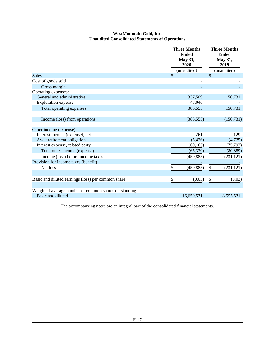## **WestMountain Gold, Inc. Unaudited Consolidated Statements of Operations**

<span id="page-17-0"></span>

|                                                       | <b>Three Months</b><br><b>Ended</b><br><b>May 31,</b><br>2020 | <b>Three Months</b><br><b>Ended</b><br>May 31,<br>2019 |  |  |
|-------------------------------------------------------|---------------------------------------------------------------|--------------------------------------------------------|--|--|
|                                                       | (unaudited)                                                   | (unaudited)                                            |  |  |
| <b>Sales</b>                                          | \$                                                            | \$                                                     |  |  |
| Cost of goods sold                                    |                                                               |                                                        |  |  |
| Gross margin                                          |                                                               |                                                        |  |  |
| Operating expenses:                                   |                                                               |                                                        |  |  |
| General and administrative                            | 337,509                                                       | 150,731                                                |  |  |
| <b>Exploration</b> expense                            | 48,046                                                        |                                                        |  |  |
| Total operating expenses                              | 385,555                                                       | 150,731                                                |  |  |
| Income (loss) from operations                         | (385, 555)                                                    | (150, 731)                                             |  |  |
| Other income (expense)                                |                                                               |                                                        |  |  |
| Interest income (expense), net                        | 261                                                           | 129                                                    |  |  |
| Asset retirement obligation                           | (5, 426)                                                      | (4,725)                                                |  |  |
| Interest expense, related party                       | (60, 165)                                                     | (75, 793)                                              |  |  |
| Total other income (expense)                          | (65, 330)                                                     | (80, 389)                                              |  |  |
| Income (loss) before income taxes                     | (450, 885)                                                    | (231, 121)                                             |  |  |
| Provision for income taxes (benefit)                  |                                                               |                                                        |  |  |
| Net loss                                              | \$<br>(450, 885)                                              | \$<br>(231, 121)                                       |  |  |
| Basic and diluted earnings (loss) per common share    | \$<br>(0.03)                                                  | (0.03)<br>\$                                           |  |  |
|                                                       |                                                               |                                                        |  |  |
| Weighted-average number of common shares outstanding: |                                                               |                                                        |  |  |
| Basic and diluted                                     | 16,659,531                                                    | 8,555,531                                              |  |  |
|                                                       |                                                               |                                                        |  |  |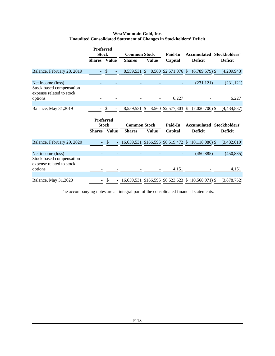#### **WestMountain Gold, Inc. Unaudited Consolidated Statement of Changes in Stockholders' Deficit**

<span id="page-18-0"></span>

|                                                                                      | <b>Preferred</b><br><b>Stock</b><br><b>Shares</b> Value |               | <b>Common Stock</b><br><b>Shares</b> | <b>Value</b> | Paid-In<br>Capital   | <b>Deficit</b>                                      | <b>Accumulated Stockholders'</b><br><b>Deficit</b> |
|--------------------------------------------------------------------------------------|---------------------------------------------------------|---------------|--------------------------------------|--------------|----------------------|-----------------------------------------------------|----------------------------------------------------|
| Balance, February 28, 2019                                                           |                                                         | \$            | 8,559,531                            | $\mathbb{S}$ | 8,560 \$2,571,076 \$ | $(6,789,579)$ \$                                    | (4,209,943)                                        |
| Net income (loss)<br>Stock based compensation<br>expense related to stock            |                                                         |               |                                      |              |                      | (231, 121)                                          | (231, 121)                                         |
| options                                                                              |                                                         |               |                                      |              | 6,227                |                                                     | 6,227                                              |
| Balance, May 31,2019                                                                 |                                                         | <sup>\$</sup> | 8,559,531 \$                         |              | 8,560 \$2,577,303 \$ | $(7,020,700)$ \$                                    | (4,434,837)                                        |
|                                                                                      | <b>Preferred</b><br><b>Stock</b><br><b>Shares</b>       | <b>Value</b>  | <b>Common Stock</b><br><b>Shares</b> | <b>Value</b> | Paid-In<br>Capital   | <b>Deficit</b>                                      | <b>Accumulated Stockholders'</b><br><b>Deficit</b> |
| Balance, February 29, 2020                                                           |                                                         |               |                                      |              |                      | 16,659,531 \$166,595 \$6,519,472 \$ (10,118,086) \$ | (3,432,019)                                        |
| Net income (loss)<br>Stock based compensation<br>expense related to stock<br>options |                                                         |               |                                      |              | 4,151                | (450, 885)                                          | (450, 885)<br>4,151                                |
| Balance, May 31,2020                                                                 |                                                         | \$            |                                      |              |                      | 16,659,531 \$166,595 \$6,523,623 \$ (10,568,971) \$ | (3,878,752)                                        |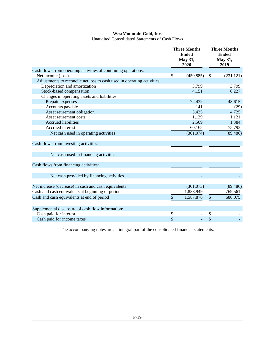# **WestMountain Gold, Inc.**

Unaudited Consolidated Statements of Cash Flows

<span id="page-19-0"></span>

|                                                                         |               | <b>Three Months</b><br><b>Ended</b><br>May 31,<br>2020 | <b>Three Months</b><br><b>Ended</b><br>May 31,<br>2019 |            |
|-------------------------------------------------------------------------|---------------|--------------------------------------------------------|--------------------------------------------------------|------------|
| Cash flows from operating activities of continuing operations:          |               |                                                        |                                                        |            |
| Net income (loss)                                                       | \$            | (450, 885)                                             | $\mathbb{S}$                                           | (231, 121) |
| Adjustments to reconcile net loss to cash used in operating activities: |               |                                                        |                                                        |            |
| Depreciation and amortization                                           |               | 3,799                                                  |                                                        | 3,799      |
| Stock-based compensation                                                |               | 4,151                                                  |                                                        | 6,227      |
| Changes in operating assets and liabilities:                            |               |                                                        |                                                        |            |
| Prepaid expenses                                                        |               | 72,432                                                 |                                                        | 48,615     |
| Accounts payable                                                        |               | 141                                                    |                                                        | (29)       |
| Asset retirement obligation                                             |               | 5,425                                                  |                                                        | 4,725      |
| Asset retirement costs                                                  |               | 1,129                                                  |                                                        | 1,121      |
| <b>Accrued liabilities</b>                                              |               | 2,569                                                  |                                                        | 1,384      |
| Accrued interest                                                        |               | 60,165                                                 |                                                        | 75,793     |
| Net cash used in operating activities                                   |               | (301, 074)                                             |                                                        | (89, 486)  |
| Cash flows from investing activities:                                   |               |                                                        |                                                        |            |
| Net cash used in financing activities                                   |               |                                                        |                                                        |            |
| Cash flows from financing activities:                                   |               |                                                        |                                                        |            |
| Net cash provided by financing activities                               |               |                                                        |                                                        |            |
| Net increase (decrease) in cash and cash equivalents                    |               | (301,073)                                              |                                                        | (89, 486)  |
| Cash and cash equivalents at beginning of period                        |               | 1,888,949                                              |                                                        | 769,561    |
| Cash and cash equivalents at end of period                              | $\frac{1}{2}$ | 1,587,876                                              | $\sqrt$                                                | 680,075    |
| Supplemental disclosure of cash flow information:                       |               |                                                        |                                                        |            |
| Cash paid for interest                                                  | \$            |                                                        | \$                                                     |            |
| Cash paid for income taxes                                              | \$            |                                                        | \$                                                     |            |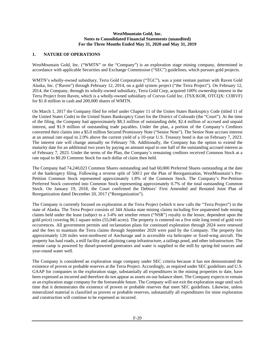#### **WestMountain Gold, Inc. Notes to Consolidated Financial Statements (unaudited) For the Three Months Ended May 31, 2020 and May 31, 2019**

## <span id="page-20-0"></span>**1. NATURE OF OPERATIONS**

WestMountain Gold, Inc. ("WMTN" or the "Company") is an exploration stage mining company, determined in accordance with applicable Securities and Exchange Commission ("SEC") guidelines, which pursues gold projects.

WMTN's wholly-owned subsidiary, Terra Gold Corporation ("TGC"), was a joint venture partner with Raven Gold Alaska, Inc. ("Raven") through February 12, 2014, on a gold system project ("the Terra Project"). On February 12, 2014, the Company, through its wholly-owned subsidiary, Terra Gold Corp, acquired 100% ownership interest in the Terra Project from Raven, which is a wholly-owned subsidiary of Corvus Gold Inc. (TSX:KOR, OTCQX: CORVF) for \$1.8 million in cash and 200,000 shares of WMTN.

On March 1, 2017 the Company filed for relief under Chapter 11 of the Unites States Bankruptcy Code (titled 11 of the United States Code) in the United States Bankruptcy Court for the District of Colorado (the "Court"). At the time of the filing, the Company had approximately \$8.3 million of outstanding debt, \$2.4 million of accrued and unpaid interest, and \$1.9 million of outstanding trade payables. Under the plan, a portion of the Company's Creditors converted their claims into a \$5.0 million Secured Promissory Note ("Senior Note"). The Senior Note accrues interest at an annual rate equal to 2.0% above the current yield of a 10-year U.S. Treasury bond is due on February 7, 2023. The interest rate will change annually on February 7th. Additionally, the Company has the option to extend the maturity date for an additional two years by paying an amount equal to one half of the outstanding accrued interest as of February 7, 2023. Under the terms of the Plan, the Company's remaining creditors received Common Stock at a rate equal to \$0.20 Common Stock for each dollar of claim then held.

The Company had 74,240,023 Common Shares outstanding and had 60,000 Preferred Shares outstanding at the date of the bankruptcy filing. Following a reverse split of 500:1 per the Plan of Reorganization, WestMountain's Pre-Petition Common Stock represented approximately 1.8% of the Common Stock. The Company's Pre-Petition Preferred Stock converted into Common Stock representing approximately 0.7% of the total outstanding Common Stock. On January 19, 2018, the Court confirmed the Debtors' First Amended and Restated Joint Plan of Reorganization dated December 20, 2017 ("Reorganization").

The Company is currently focused on exploration at the Terra Project (which it now calls the "Terra Project") in the state of Alaska. The Terra Project consists of 344 Alaska state mining claims including five unpatented lode mining claims held under the lease (subject to a 3-4% net smelter return ("NSR") royalty to the lessor, dependent upon the gold price) covering 86.1 square miles (55,040 acres). The property is centered on a five mile long trend of gold vein occurrences. All government permits and reclamation plans for continued exploration through 2024 were renewed and the fees to maintain the Terra claims through September 2020 were paid by the Company. The property lies approximately 120 miles west-northwest of Anchorage and is accessible via helicopter or fixed-wing aircraft. The property has haul roads, a mill facility and adjoining camp infrastructure, a tailings pond, and other infrastructure. The remote camp is powered by diesel-powered generators and water is supplied to the mill by spring-fed sources and year-round water well.

The Company is considered an exploration stage company under SEC criteria because it has not demonstrated the existence of proven or probable reserves at the Terra Project. Accordingly, as required under SEC guidelines and U.S. GAAP for companies in the exploration stage, substantially all expenditures in the mining properties to date, have been expensed as incurred and therefore do not appear as assets on our balance sheet. The Company expects to remain as an exploration stage company for the foreseeable future. The Company will not exit the exploration stage until such time that it demonstrates the existence of proven or probable reserves that meet SEC guidelines. Likewise, unless mineralized material is classified as proven or probable reserves, substantially all expenditures for mine exploration and construction will continue to be expensed as incurred.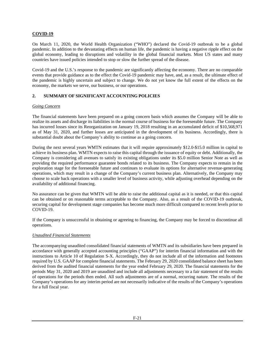## **COVID-19**

On March 11, 2020, the World Health Organization ("WHO") declared the Covid-19 outbreak to be a global pandemic. In addition to the devastating effects on human life, the pandemic is having a negative ripple effect on the global economy, leading to disruptions and volatility in the global financial markets. Most US states and many countries have issued policies intended to stop or slow the further spread of the disease.

Covid-19 and the U.S.'s response to the pandemic are significantly affecting the economy. There are no comparable events that provide guidance as to the effect the Covid-19 pandemic may have, and, as a result, the ultimate effect of the pandemic is highly uncertain and subject to change. We do not yet know the full extent of the effects on the economy, the markets we serve, our business, or our operations.

## **2. SUMMARY OF SIGNIFICANT ACCOUNTING POLICIES**

#### *Going Concern*

The financial statements have been prepared on a going concern basis which assumes the Company will be able to realize its assets and discharge its liabilities in the normal course of business for the foreseeable future. The Company has incurred losses since its Reorganization on January 19, 2018 resulting in an accumulated deficit of \$10,568,971 as of May 31, 2020, and further losses are anticipated in the development of its business. Accordingly, there is substantial doubt about the Company's ability to continue as a going concern.

During the next several years WMTN estimates that it will require approximately \$12.0-\$15.0 million in capital to achieve its business plan. WMTN expects to raise this capital through the issuance of equity or debt. Additionally, the Company is considering all avenues to satisfy its existing obligations under its \$5.0 million Senior Note as well as providing the required performance guarantee bonds related to its business. The Company expects to remain in the exploration stage for the foreseeable future and continues to evaluate its options for alternative revenue-generating operations, which may result in a change of the Company's current business plan. Alternatively, the Company may choose to scale back operations with a smaller level of business activity, while adjusting overhead depending on the availability of additional financing.

No assurance can be given that WMTN will be able to raise the additional capital as it is needed, or that this capital can be obtained or on reasonable terms acceptable to the Company. Also, as a result of the COVID-19 outbreak, securing capital for development stage companies has become much more difficult compared to recent levels prior to COVID-19.

If the Company is unsuccessful in obtaining or agreeing to financing, the Company may be forced to discontinue all operations.

## *Unaudited Financial Statements*

The accompanying unaudited consolidated financial statements of WMTN and its subsidiaries have been prepared in accordance with generally accepted accounting principles ("GAAP") for interim financial information and with the instructions to Article 10 of Regulation S-X. Accordingly, they do not include all of the information and footnotes required by U.S. GAAP for complete financial statements. The February 29, 2020 consolidated balance sheet has been derived from the audited financial statements for the year ended February 29, 2020. The financial statements for the periods May 31, 2020 and 2019 are unaudited and include all adjustments necessary to a fair statement of the results of operations for the periods then ended. All such adjustments are of a normal, recurring nature. The results of the Company's operations for any interim period are not necessarily indicative of the results of the Company's operations for a full fiscal year.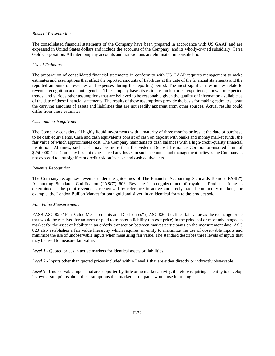#### *Basis of Presentation*

The consolidated financial statements of the Company have been prepared in accordance with US GAAP and are expressed in United States dollars and include the accounts of the Company; and its wholly-owned subsidiary, Terra Gold Corporation. All intercompany accounts and transactions are eliminated in consolidation.

#### *Use of Estimates*

The preparation of consolidated financial statements in conformity with US GAAP requires management to make estimates and assumptions that affect the reported amounts of liabilities at the date of the financial statements and the reported amounts of revenues and expenses during the reporting period. The most significant estimates relate to revenue recognition and contingencies. The Company bases its estimates on historical experience, known or expected trends, and various other assumptions that are believed to be reasonable given the quality of information available as of the date of these financial statements. The results of these assumptions provide the basis for making estimates about the carrying amounts of assets and liabilities that are not readily apparent from other sources. Actual results could differ from these estimates.

#### *Cash and cash equivalents*

The Company considers all highly liquid investments with a maturity of three months or less at the date of purchase to be cash equivalents. Cash and cash equivalents consist of cash on deposit with banks and money market funds, the fair value of which approximates cost. The Company maintains its cash balances with a high-credit-quality financial institution. At times, such cash may be more than the Federal Deposit Insurance Corporation-insured limit of \$250,000. The Company has not experienced any losses in such accounts, and management believes the Company is not exposed to any significant credit risk on its cash and cash equivalents.

#### *Revenue Recognition*

The Company recognizes revenue under the guidelines of The Financial Accounting Standards Board ("FASB") Accounting Standards Codification ("ASC") 606. Revenue is recognized net of royalties. Product pricing is determined at the point revenue is recognized by reference to active and freely traded commodity markets, for example, the London Bullion Market for both gold and silver, in an identical form to the product sold.

#### *Fair Value Measurements*

FASB ASC 820 "Fair Value Measurements and Disclosures" ("ASC 820") defines fair value as the exchange price that would be received for an asset or paid to transfer a liability (an exit price) in the principal or most advantageous market for the asset or liability in an orderly transaction between market participants on the measurement date. ASC 820 also establishes a fair value hierarchy which requires an entity to maximize the use of observable inputs and minimize the use of unobservable inputs when measuring fair value. The standard describes three levels of inputs that may be used to measure fair value:

*Level 1* - Quoted prices in active markets for identical assets or liabilities.

*Level 2* - Inputs other than quoted prices included within Level 1 that are either directly or indirectly observable.

*Level 3* - Unobservable inputs that are supported by little or no market activity, therefore requiring an entity to develop its own assumptions about the assumptions that market participants would use in pricing.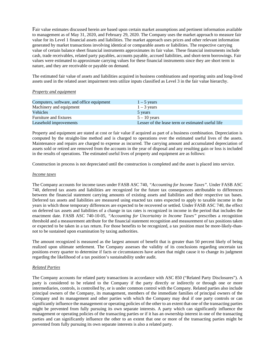Fair value estimates discussed herein are based upon certain market assumptions and pertinent information available to management as of May 31, 2020, and February 29, 2020. The Company uses the market approach to measure fair value for its Level 1 financial assets and liabilities. The market approach uses prices and other relevant information generated by market transactions involving identical or comparable assets or liabilities. The respective carrying value of certain balance sheet financial instruments approximates its fair value. These financial instruments include cash, trade receivables, related party payables, accounts payable, accrued liabilities, and short-term borrowings. Fair values were estimated to approximate carrying values for these financial instruments since they are short term in nature, and they are receivable or payable on demand.

The estimated fair value of assets and liabilities acquired in business combinations and reporting units and long-lived assets used in the related asset impairment tests utilize inputs classified as Level 3 in the fair value hierarchy.

#### *Property and equipment*

| Computers, software, and office equipment | $1 - 5$ years                                     |
|-------------------------------------------|---------------------------------------------------|
| Machinery and equipment                   | $1 - 3$ years                                     |
| Vehicles                                  | 5 years                                           |
| Furniture and fixtures                    | $5 - 10$ years                                    |
| Leasehold improvements                    | Lesser of the lease term or estimated useful life |

Property and equipment are stated at cost or fair value if acquired as part of a business combination. Depreciation is computed by the straight-line method and is charged to operations over the estimated useful lives of the assets. Maintenance and repairs are charged to expense as incurred. The carrying amount and accumulated depreciation of assets sold or retired are removed from the accounts in the year of disposal and any resulting gain or loss is included in the results of operations. The estimated useful lives of property and equipment are as follows:

Construction in process is not depreciated until the construction is completed and the asset is placed into service.

#### *Income taxes*

The Company accounts for income taxes under FASB ASC 740, *"Accounting for Income Taxes"*. Under FASB ASC 740, deferred tax assets and liabilities are recognized for the future tax consequences attributable to differences between the financial statement carrying amounts of existing assets and liabilities and their respective tax bases. Deferred tax assets and liabilities are measured using enacted tax rates expected to apply to taxable income in the years in which those temporary differences are expected to be recovered or settled. Under FASB ASC 740, the effect on deferred tax assets and liabilities of a change in tax rates is recognized in income in the period that includes the enactment date. FASB ASC 740-10-05, *"Accounting for Uncertainty in Income Taxes"* prescribes a recognition threshold and a measurement attribute for the financial statement recognition and measurement of tax positions taken or expected to be taken in a tax return. For those benefits to be recognized, a tax position must be more-likely-thannot to be sustained upon examination by taxing authorities.

The amount recognized is measured as the largest amount of benefit that is greater than 50 percent likely of being realized upon ultimate settlement. The Company assesses the validity of its conclusions regarding uncertain tax positions every quarter to determine if facts or circumstances have arisen that might cause it to change its judgment regarding the likelihood of a tax position's sustainability under audit.

## *Related Parties*

The Company accounts for related party transactions in accordance with ASC 850 ("Related Party Disclosures"). A party is considered to be related to the Company if the party directly or indirectly or through one or more intermediaries, controls, is controlled by, or is under common control with the Company. Related parties also include principal owners of the Company, its management, members of the immediate families of principal owners of the Company and its management and other parties with which the Company may deal if one party controls or can significantly influence the management or operating policies of the other to an extent that one of the transacting parties might be prevented from fully pursuing its own separate interests. A party which can significantly influence the management or operating policies of the transacting parties or if it has an ownership interest in one of the transacting parties and can significantly influence the other to an extent that one or more of the transacting parties might be prevented from fully pursuing its own separate interests is also a related party.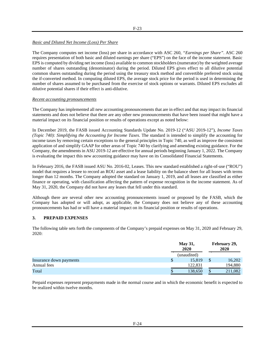# *Basic and Diluted Net Income (Loss) Per Share*

The Company computes net income (loss) per share in accordance with ASC 260, *"Earnings per Share"*. ASC 260 requires presentation of both basic and diluted earnings per share ("EPS") on the face of the income statement. Basic EPS is computed by dividing net income (loss) available to common stockholders (numerator) by the weighted average number of shares outstanding (denominator) during the period. Diluted EPS gives effect to all dilutive potential common shares outstanding during the period using the treasury stock method and convertible preferred stock using the if-converted method. In computing diluted EPS, the average stock price for the period is used in determining the number of shares assumed to be purchased from the exercise of stock options or warrants. Diluted EPS excludes all dilutive potential shares if their effect is anti-dilutive.

## *Recent accounting pronouncements*

The Company has implemented all new accounting pronouncements that are in effect and that may impact its financial statements and does not believe that there are any other new pronouncements that have been issued that might have a material impact on its financial position or results of operations except as noted below:

In December 2019, the FASB issued Accounting Standards Update No. 2019-12 ("ASU 2019-12"), *Income Taxes (Topic 740): Simplifying the Accounting for Income Taxes*. The standard is intended to simplify the accounting for income taxes by removing certain exceptions to the general principles in Topic 740, as well as improve the consistent application of and simplify GAAP for other areas of Topic 740 by clarifying and amending existing guidance. For the Company, the amendments in ASU 2019-12 are effective for annual periods beginning January 1, 2022. The Company is evaluating the impact this new accounting guidance may have on its Consolidated Financial Statements.

In February 2016, the FASB issued ASU No. 2016-02, Leases. This new standard established a right-of-use ("ROU") model that requires a lessee to record an ROU asset and a lease liability on the balance sheet for all leases with terms longer than 12 months. The Company adopted the standard on January 1, 2019, and all leases are classified as either finance or operating, with classification affecting the pattern of expense recognition in the income statement. As of May 31, 2020, the Company did not have any leases that fell under this standard.

Although there are several other new accounting pronouncements issued or proposed by the FASB, which the Company has adopted or will adopt, as applicable, the Company does not believe any of these accounting pronouncements has had or will have a material impact on its financial position or results of operations.

# **3. PREPAID EXPENSES**

The following table sets forth the components of the Company's prepaid expenses on May 31, 2020 and February 29, 2020:

|                         |   | <b>May 31,</b><br>2020 | February 29,<br>2020 |         |
|-------------------------|---|------------------------|----------------------|---------|
|                         |   | (unaudited)            |                      |         |
| Insurance down payments | S | 15.819                 |                      | 16,202  |
| Annual fees             |   | 122.831                |                      | 194,880 |
| Total                   | S | 138.650                |                      | 211,082 |

Prepaid expenses represent prepayments made in the normal course and in which the economic benefit is expected to be realized within twelve months.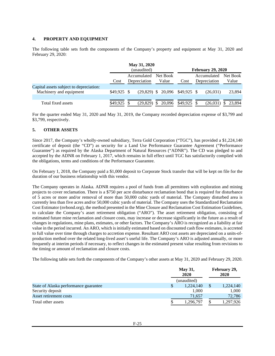#### **4. PROPERTY AND EQUIPMENT**

The following table sets forth the components of the Company's property and equipment at May 31, 2020 and February 29, 2020:

|                                         |              | May 31, 2020                |   |                   |                                  |                             |                   |  |
|-----------------------------------------|--------------|-----------------------------|---|-------------------|----------------------------------|-----------------------------|-------------------|--|
|                                         |              | (unaudited)                 |   |                   |                                  | <b>February 29, 2020</b>    |                   |  |
|                                         | Cost         | Accumulated<br>Depreciation |   | Net Book<br>Value | Cost                             | Accumulated<br>Depreciation | Net Book<br>Value |  |
| Capital assets subject to depreciation: |              |                             |   |                   |                                  |                             |                   |  |
| Machinery and equipment                 | $$49,925$ \$ |                             |   |                   | $(29,829)$ \$ 20,096 \$49,925 \$ | (26,031)                    | 23,894            |  |
|                                         |              |                             |   |                   |                                  |                             |                   |  |
| Total fixed assets                      | \$49,925     | (29, 829)                   | S | 20,096            | \$49.925                         | (26,031)                    | 23.894            |  |

For the quarter ended May 31, 2020 and May 31, 2019, the Company recorded depreciation expense of \$3,799 and \$3,799, respectively.

## **5. OTHER ASSETS**

Since 2017, the Company's wholly-owned subsidiary, Terra Gold Corporation ("TGC"), has provided a \$1,224,140 certificate of deposit (the "CD") as security for a Land Use Performance Guarantee Agreement ("Performance Guarantee") as required by the Alaska Department of Natural Resources ("ADNR"). The CD was pledged to and accepted by the ADNR on February 1, 2017, which remains in full effect until TGC has satisfactorily complied with the obligations, terms and conditions of the Performance Guarantee.

On February 1, 2018, the Company paid a \$1,000 deposit to Corporate Stock transfer that will be kept on file for the duration of our business relationship with this vendor.

The Company operates in Alaska. ADNR requires a pool of funds from all permittees with exploration and mining projects to cover reclamation. There is a \$750 per acre disturbance reclamation bond that is required for disturbance of 5 acres or more and/or removal of more than 50,000 cubic yards of material. The Company disturbed area is currently less than five acres and/or 50,000 cubic yards of material. The Company uses the Standardized Reclamation Cost Estimator (nvbond.org), the method presented in the Mine Closure and Reclamation Cost Estimation Guidelines, to calculate the Company's asset retirement obligation ("ARO"). The asset retirement obligation, consisting of estimated future mine reclamation and closure costs, may increase or decrease significantly in the future as a result of changes in regulations, mine plans, estimates, or other factors. The Company's ARO is recognized as a liability at fair value in the period incurred. An ARO, which is initially estimated based on discounted cash flow estimates, is accreted to full value over time through charges to accretion expense. Resultant ARO cost assets are depreciated on a units-ofproduction method over the related long-lived asset's useful life. The Company's ARO is adjusted annually, or more frequently at interim periods if necessary, to reflect changes in the estimated present value resulting from revisions to the timing or amount of reclamation and closure costs.

The following table sets forth the components of the Company's other assets at May 31, 2020 and February 29, 2020.

|                                       | <b>May 31,</b><br>2020 | February 29,<br>2020 |  |  |
|---------------------------------------|------------------------|----------------------|--|--|
|                                       | (unaudited)            |                      |  |  |
| State of Alaska performance guarantee | 1,224,140              | 1,224,140            |  |  |
| Security deposit                      | 1.000                  | 1,000                |  |  |
| Asset retirement costs                | 71.657                 | 72,786               |  |  |
| Total other assets                    | 1,296,797              | 1,297,926            |  |  |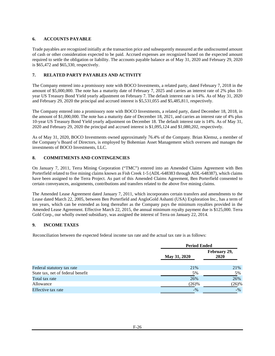# **6. ACCOUNTS PAYABLE**

Trade payables are recognized initially at the transaction price and subsequently measured at the undiscounted amount of cash or other consideration expected to be paid. Accrued expenses are recognized based on the expected amount required to settle the obligation or liability. The accounts payable balance as of May 31, 2020 and February 29, 2020 is \$65,472 and \$65,330, respectively.

# **7. RELATED PARTY PAYABLES AND ACTIVITY**

The Company entered into a promissory note with BOCO Investments, a related party, dated February 7, 2018 in the amount of \$5,000,000. The note has a maturity date of February 7, 2025 and carries an interest rate of 2% plus 10 year US Treasury Bond Yield yearly adjustment on February 7. The default interest rate is 14%. As of May 31, 2020 and February 29, 2020 the principal and accrued interest is \$5,531,055 and \$5,485,811, respectively.

The Company entered into a promissory note with BOCO Investments, a related party, dated December 18, 2018, in the amount of \$1,000,000. The note has a maturity date of December 18, 2021, and carries an interest rate of 4% plus 10-year US Treasury Bond Yield yearly adjustment on December 18. The default interest rate is 14%. As of May 31, 2020 and February 29, 2020 the principal and accrued interest is \$1,095,124 and \$1,080,202, respectively.

As of May 31, 2020, BOCO Investments owned approximately 76.4% of the Company. Brian Klemsz, a member of the Company's Board of Directors, is employed by Bohemian Asset Management which oversees and manages the investments of BOCO Investments, LLC.

## **8. COMMITMENTS AND CONTINGENCIES**

On January 7, 2011, Terra Mining Corporation ("TMC") entered into an Amended Claims Agreement with Ben Porterfield related to five mining claims known as Fish Creek 1-5 (ADL-648383 through ADL-648387), which claims have been assigned to the Terra Project. As part of this Amended Claims Agreement, Ben Porterfield consented to certain conveyances, assignments, contributions and transfers related to the above five mining claims.

The Amended Lease Agreement dated January 7, 2011, which incorporates certain transfers and amendments to the Lease dated March 22, 2005, between Ben Porterfield and AngloGold Ashanti (USA) Exploration Inc., has a term of ten years, which can be extended as long thereafter as the Company pays the minimum royalties provided in the Amended Lease Agreement. Effective March 22, 2015, the annual minimum royalty payment due is \$125,000. Terra Gold Corp., our wholly owned subsidiary, was assigned the interest of Terra on January 22, 2014.

# **9. INCOME TAXES**

Reconciliation between the expected federal income tax rate and the actual tax rate is as follows:

|                                   | <b>Period Ended</b> |                             |
|-----------------------------------|---------------------|-----------------------------|
|                                   | May 31, 2020        | February 29,<br><b>2020</b> |
| Federal statutory tax rate        | 21%                 | 21%                         |
| State tax, net of federal benefit | 5%                  | 5%                          |
| Total tax rate                    | 26%                 | 26%                         |
| Allowance                         | $(26)\%$            | (26)%                       |
| Effective tax rate                | $-9/6$              | $-9/6$                      |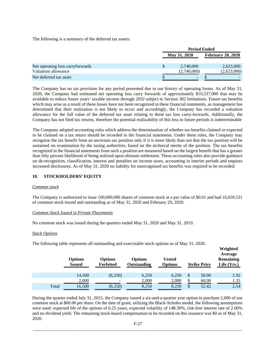The following is a summary of the deferred tax assets:

|                                   | <b>Period Ended</b>      |                          |  |  |  |
|-----------------------------------|--------------------------|--------------------------|--|--|--|
|                                   | May 31, 2020             | <b>February 28, 2020</b> |  |  |  |
| Net operating loss carry forwards | 2,740,000                | 2,623,000                |  |  |  |
| Valuation allowance               | (2,740,000)              | (2,623,000)              |  |  |  |
| Net deferred tax asset            | $\overline{\phantom{a}}$ |                          |  |  |  |

The Company has no tax provision for any period presented due to our history of operating losses. As of May 31, 2020, the Company had estimated net operating loss carry forwards of approximately \$10,537,000 that may be available to reduce future years' taxable income through 2032 subject to Section 382 limitations. Future tax benefits which may arise as a result of these losses have not been recognized in these financial statements, as management has determined that their realization is not likely to occur and accordingly, the Company has recorded a valuation allowance for the full value of the deferred tax asset relating to these tax loss carry-forwards. Additionally, the Company has not filed tax returns, therefore the potential realizability of this loss in future periods is indeterminable

The Company adopted accounting rules which address the determination of whether tax benefits claimed or expected to be claimed on a tax return should be recorded in the financial statements. Under these rules, the Company may recognize the tax benefit from an uncertain tax position only if it is more likely than not that the tax position will be sustained on examination by the taxing authorities, based on the technical merits of the position. The tax benefits recognized in the financial statements from such a position are measured based on the largest benefit that has a greater than fifty percent likelihood of being realized upon ultimate settlement. These accounting rules also provide guidance on de-recognition, classification, interest and penalties on income taxes, accounting in interim periods and requires increased disclosures. As of May 31, 2020 no liability for unrecognized tax benefits was required to be recorded.

#### **10. STOCKHOLDERS' EQUITY**

#### *Common stock*

The Company is authorized to issue 100,000,000 shares of common stock at a par value of \$0.01 and had 16,659,531 of common stock issued and outstanding as of May 31, 2020 and February 29, 2020.

#### *Common Stock Issued in Private Placements*

No common stock was issued during the quarters ended May 31, 2020 and May 31, 2019.

#### *Stock Options*

The following table represents all outstanding and exercisable stock options as of May 31, 2020.

|       | <b>Options</b><br><b>Issued</b> | <b>Options</b><br><b>Forfeited</b> | <b>Options</b><br>Outstanding | <b>Vested</b><br><b>Options</b> | <b>Strike Price</b> | Weighted<br>Average<br><b>Remaining</b><br>Life (Yrs.) |
|-------|---------------------------------|------------------------------------|-------------------------------|---------------------------------|---------------------|--------------------------------------------------------|
|       | 14,500                          | (8,250)                            | 6,250                         | 6,250                           | \$<br>50.00         | 2.92                                                   |
|       | 2,000                           | -                                  | 2,000                         | 2,000                           | \$<br>60.00         | 1.35                                                   |
| Total | 16,500                          | (8,250)                            | 8,250                         | 8,250                           | \$<br>52.42         | 2.54                                                   |

During the quarter ended July 31, 2015, the Company issued a six-and-a-quarter year option to purchase 2,000 of our common stock at \$60.00 per share. On the date of grant, utilizing the Black-Scholes model, the following assumptions were used: expected life of the options of 6.25 years, expected volatility of 148.30%, risk-free interest rate of 2.00% and no dividend yield. The remaining stock-based compensation to be recorded on this issuance was \$0 as of May 31, 2020.